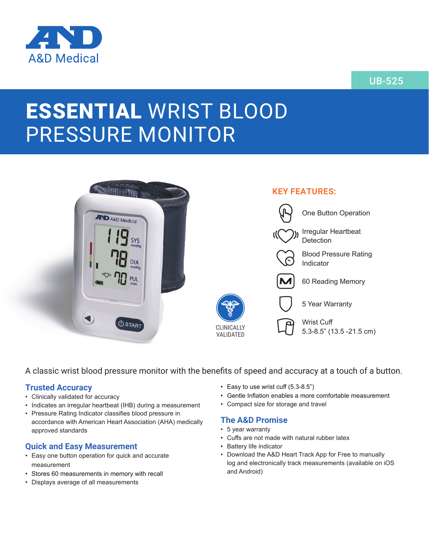

# UB-525

# ESSENTIAL WRIST BLOOD PRESSURE MONITOR



A classic wrist blood pressure monitor with the benefits of speed and accuracy at a touch of a button.

#### **Trusted Accuracy**

- Clinically validated for accuracy
- Indicates an irregular heartbeat (IHB) during a measurement
- Pressure Rating Indicator classifies blood pressure in accordance with American Heart Association (AHA) medically approved standards

#### **Quick and Easy Measurement**

- Easy one button operation for quick and accurate measurement
- Stores 60 measurements in memory with recall
- Displays average of all measurements
- Easy to use wrist cuff (5.3-8.5")
- Gentle Inflation enables a more comfortable measurement
- Compact size for storage and travel

#### **The A&D Promise**

- 5 year warranty
- Cuffs are not made with natural rubber latex
- Battery life indicator
- Download the A&D Heart Track App for Free to manually log and electronically track measurements (available on iOS and Android)